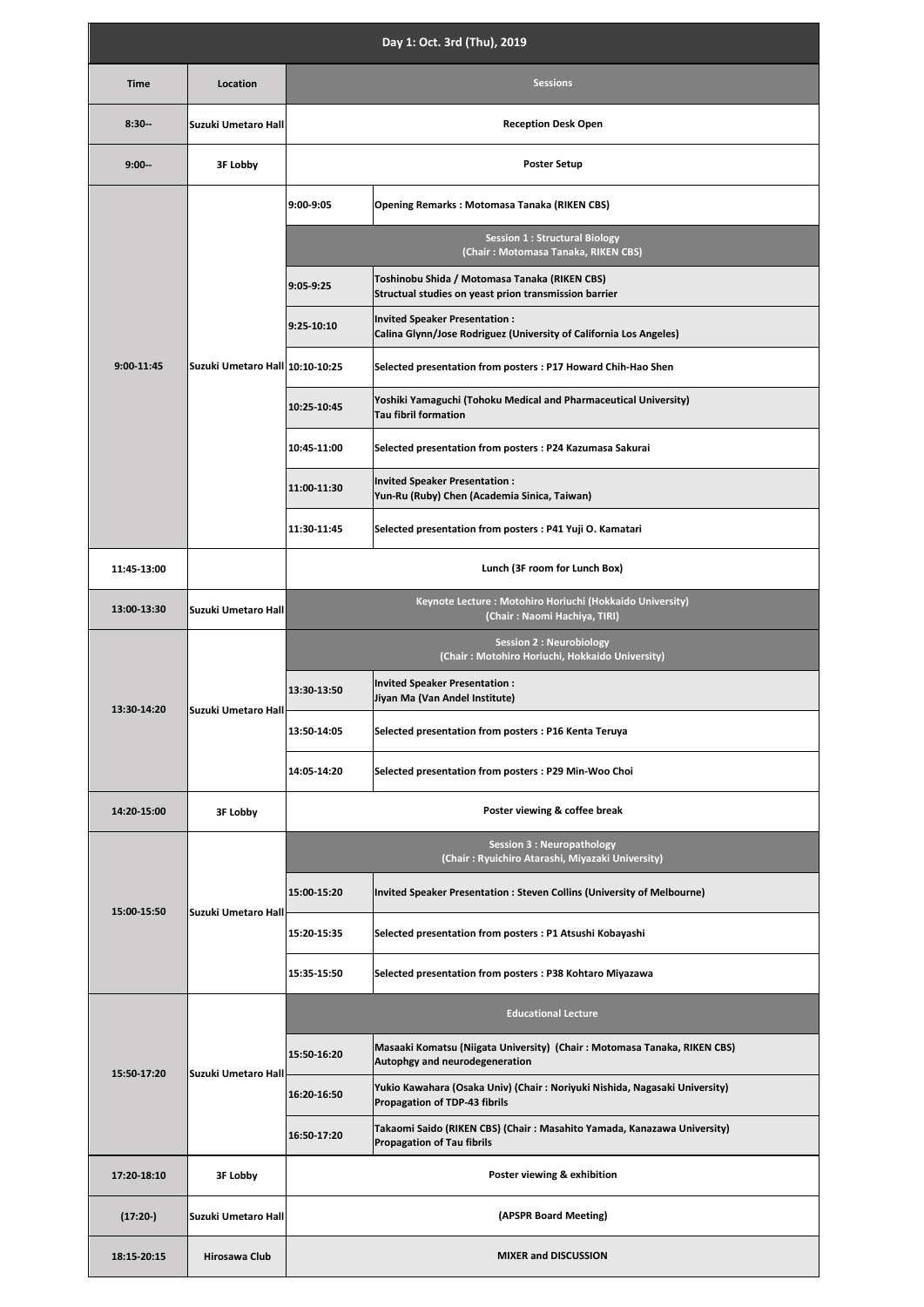| Day 1: Oct. 3rd (Thu), 2019 |                                 |                                                                                          |                                                                                                               |  |  |
|-----------------------------|---------------------------------|------------------------------------------------------------------------------------------|---------------------------------------------------------------------------------------------------------------|--|--|
| <b>Time</b>                 | Location                        | <b>Sessions</b>                                                                          |                                                                                                               |  |  |
| $8:30-$                     | Suzuki Umetaro Hall             | <b>Reception Desk Open</b>                                                               |                                                                                                               |  |  |
| $9:00 -$                    | 3F Lobby                        | <b>Poster Setup</b>                                                                      |                                                                                                               |  |  |
| 9:00-11:45                  | Suzuki Umetaro Hall 10:10-10:25 | 9:00-9:05                                                                                | Opening Remarks: Motomasa Tanaka (RIKEN CBS)                                                                  |  |  |
|                             |                                 | <b>Session 1: Structural Biology</b><br>(Chair: Motomasa Tanaka, RIKEN CBS)              |                                                                                                               |  |  |
|                             |                                 | 9:05-9:25                                                                                | Toshinobu Shida / Motomasa Tanaka (RIKEN CBS)<br>Structual studies on yeast prion transmission barrier        |  |  |
|                             |                                 | 9:25-10:10                                                                               | Invited Speaker Presentation:<br>Calina Glynn/Jose Rodriguez (University of California Los Angeles)           |  |  |
|                             |                                 |                                                                                          | Selected presentation from posters : P17 Howard Chih-Hao Shen                                                 |  |  |
|                             |                                 | 10:25-10:45                                                                              | Yoshiki Yamaguchi (Tohoku Medical and Pharmaceutical University)<br><b>Tau fibril formation</b>               |  |  |
|                             |                                 | 10:45-11:00                                                                              | Selected presentation from posters : P24 Kazumasa Sakurai                                                     |  |  |
|                             |                                 | 11:00-11:30                                                                              | Invited Speaker Presentation:<br>Yun-Ru (Ruby) Chen (Academia Sinica, Taiwan)                                 |  |  |
|                             |                                 | 11:30-11:45                                                                              | Selected presentation from posters : P41 Yuji O. Kamatari                                                     |  |  |
| 11:45-13:00                 |                                 | Lunch (3F room for Lunch Box)                                                            |                                                                                                               |  |  |
| 13:00-13:30                 | Suzuki Umetaro Hall             | Keynote Lecture: Motohiro Horiuchi (Hokkaido University)<br>(Chair: Naomi Hachiya, TIRI) |                                                                                                               |  |  |
| 13:30-14:20                 | Suzuki Umetaro Hall             | <b>Session 2: Neurobiology</b><br>(Chair: Motohiro Horiuchi, Hokkaido University)        |                                                                                                               |  |  |
|                             |                                 | 13:30-13:50                                                                              | Invited Speaker Presentation:<br>Jiyan Ma (Van Andel Institute)                                               |  |  |
|                             |                                 | 13:50-14:05                                                                              | Selected presentation from posters : P16 Kenta Teruya                                                         |  |  |
|                             |                                 | 14:05-14:20                                                                              | Selected presentation from posters : P29 Min-Woo Choi                                                         |  |  |
| 14:20-15:00                 | 3F Lobby                        | Poster viewing & coffee break                                                            |                                                                                                               |  |  |
|                             | Suzuki Umetaro Hall             |                                                                                          | <b>Session 3: Neuropathology</b><br>(Chair: Ryuichiro Atarashi, Miyazaki University)                          |  |  |
| 15:00-15:50                 |                                 | 15:00-15:20                                                                              | Invited Speaker Presentation : Steven Collins (University of Melbourne)                                       |  |  |
|                             |                                 | 15:20-15:35                                                                              | Selected presentation from posters : P1 Atsushi Kobayashi                                                     |  |  |
|                             |                                 | 15:35-15:50                                                                              | Selected presentation from posters: P38 Kohtaro Miyazawa                                                      |  |  |
| 15:50-17:20                 | Suzuki Umetaro Hall             |                                                                                          | <b>Educational Lecture</b>                                                                                    |  |  |
|                             |                                 | 15:50-16:20                                                                              | Masaaki Komatsu (Niigata University) (Chair: Motomasa Tanaka, RIKEN CBS)<br>Autophgy and neurodegeneration    |  |  |
|                             |                                 | 16:20-16:50                                                                              | Yukio Kawahara (Osaka Univ) (Chair: Noriyuki Nishida, Nagasaki University)<br>Propagation of TDP-43 fibrils   |  |  |
|                             |                                 | 16:50-17:20                                                                              | Takaomi Saido (RIKEN CBS) (Chair : Masahito Yamada, Kanazawa University)<br><b>Propagation of Tau fibrils</b> |  |  |
| 17:20-18:10                 | 3F Lobby                        | Poster viewing & exhibition                                                              |                                                                                                               |  |  |
| $(17:20-)$                  | Suzuki Umetaro Hall             | (APSPR Board Meeting)                                                                    |                                                                                                               |  |  |
| 18:15-20:15                 | Hirosawa Club                   | <b>MIXER and DISCUSSION</b>                                                              |                                                                                                               |  |  |